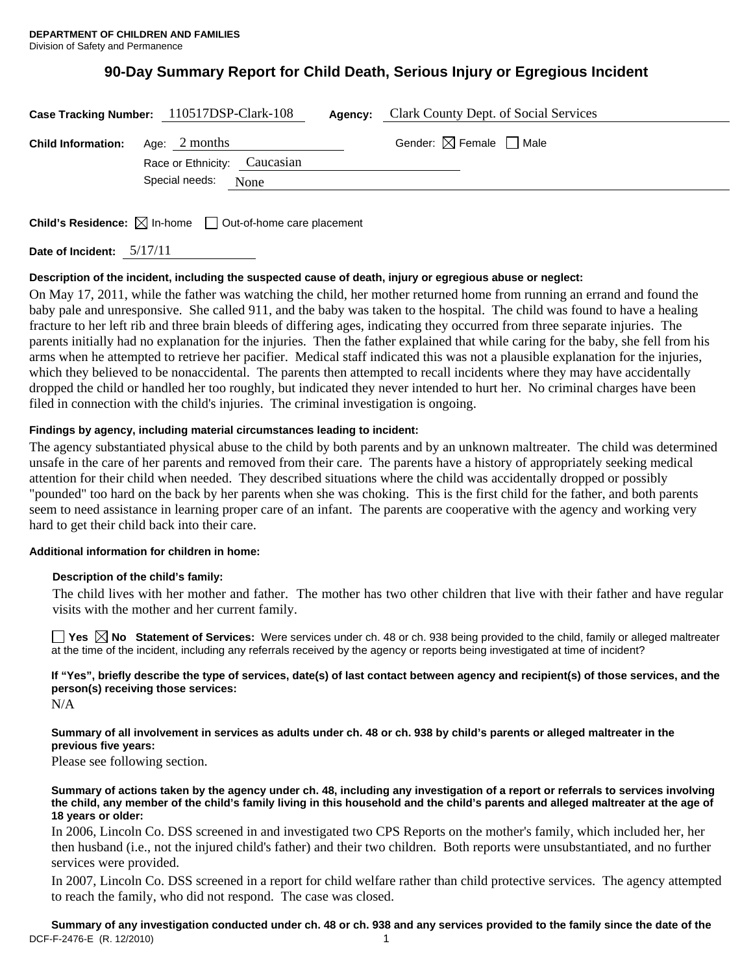# **90-Day Summary Report for Child Death, Serious Injury or Egregious Incident**

|                                         | Case Tracking Number: 110517DSP-Clark-108 | Agency: | Clark County Dept. of Social Services  |  |
|-----------------------------------------|-------------------------------------------|---------|----------------------------------------|--|
| <b>Child Information:</b> Age: 2 months | Race or Ethnicity: Caucasian              |         | Gender: $\boxtimes$ Female $\Box$ Male |  |
|                                         | Special needs:<br>None                    |         |                                        |  |

**Child's Residence:**  $\boxtimes$  In-home  $\Box$  Out-of-home care placement

**Date of Incident:** 5/17/11

# **Description of the incident, including the suspected cause of death, injury or egregious abuse or neglect:**

On May 17, 2011, while the father was watching the child, her mother returned home from running an errand and found the baby pale and unresponsive. She called 911, and the baby was taken to the hospital. The child was found to have a healing fracture to her left rib and three brain bleeds of differing ages, indicating they occurred from three separate injuries. The parents initially had no explanation for the injuries. Then the father explained that while caring for the baby, she fell from his arms when he attempted to retrieve her pacifier. Medical staff indicated this was not a plausible explanation for the injuries, which they believed to be nonaccidental. The parents then attempted to recall incidents where they may have accidentally dropped the child or handled her too roughly, but indicated they never intended to hurt her. No criminal charges have been filed in connection with the child's injuries. The criminal investigation is ongoing.

# **Findings by agency, including material circumstances leading to incident:**

The agency substantiated physical abuse to the child by both parents and by an unknown maltreater. The child was determined unsafe in the care of her parents and removed from their care. The parents have a history of appropriately seeking medical attention for their child when needed. They described situations where the child was accidentally dropped or possibly "pounded" too hard on the back by her parents when she was choking. This is the first child for the father, and both parents seem to need assistance in learning proper care of an infant. The parents are cooperative with the agency and working very hard to get their child back into their care.

### **Additional information for children in home:**

### **Description of the child's family:**

The child lives with her mother and father. The mother has two other children that live with their father and have regular visits with the mother and her current family.

**No** Statement of Services: Were services under ch. 48 or ch. 938 being provided to the child, family or alleged maltreater at the time of the incident, including any referrals received by the agency or reports being investigated at time of incident?

**If "Yes", briefly describe the type of services, date(s) of last contact between agency and recipient(s) of those services, and the person(s) receiving those services:** 

N/A

**Summary of all involvement in services as adults under ch. 48 or ch. 938 by child's parents or alleged maltreater in the previous five years:** 

Please see following section.

**Summary of actions taken by the agency under ch. 48, including any investigation of a report or referrals to services involving the child, any member of the child's family living in this household and the child's parents and alleged maltreater at the age of 18 years or older:** 

In 2006, Lincoln Co. DSS screened in and investigated two CPS Reports on the mother's family, which included her, her then husband (i.e., not the injured child's father) and their two children. Both reports were unsubstantiated, and no further services were provided.

In 2007, Lincoln Co. DSS screened in a report for child welfare rather than child protective services. The agency attempted to reach the family, who did not respond. The case was closed.

DCF-F-2476-E (R. 12/2010) 1 **Summary of any investigation conducted under ch. 48 or ch. 938 and any services provided to the family since the date of the**